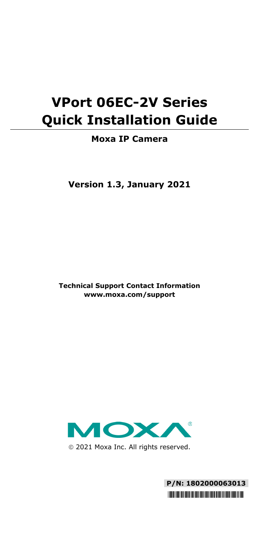# **VPort 06EC-2V Series Quick Installation Guide**

### **Moxa IP Camera**

**Version 1.3, January 2021**

**Technical Support Contact Information www.moxa.com/support**



2021 Moxa Inc. All rights reserved.

**P/N: 1802000063013** \*1802000063013\*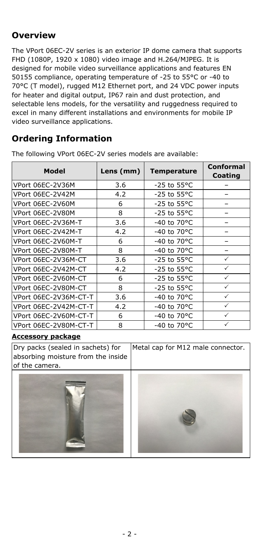### **Overview**

The VPort 06EC-2V series is an exterior IP dome camera that supports FHD (1080P, 1920 x 1080) video image and H.264/MJPEG. It is designed for mobile video surveillance applications and features EN 50155 compliance, operating temperature of -25 to 55°C or -40 to 70°C (T model), rugged M12 Ethernet port, and 24 VDC power inputs for heater and digital output, IP67 rain and dust protection, and selectable lens models, for the versatility and ruggedness required to excel in many different installations and environments for mobile IP video surveillance applications.

### **Ordering Information**

The following VPort 06EC-2V series models are available:

| Model                 | Lens (mm) | <b>Temperature</b>      | <b>Conformal</b><br>Coating |  |
|-----------------------|-----------|-------------------------|-----------------------------|--|
| VPort 06EC-2V36M      | 3.6       | $-25$ to $55^{\circ}$ C |                             |  |
| VPort 06EC-2V42M      | 4.2       | $-25$ to $55^{\circ}$ C |                             |  |
| VPort 06EC-2V60M      | 6         | $-25$ to $55^{\circ}$ C |                             |  |
| VPort 06EC-2V80M      | 8         | -25 to 55°C             |                             |  |
| VPort 06EC-2V36M-T    | 3.6       | -40 to 70°C             |                             |  |
| VPort 06EC-2V42M-T    | 4.2       | -40 to 70°C             |                             |  |
| VPort 06EC-2V60M-T    | 6         | -40 to 70°C             |                             |  |
| VPort 06EC-2V80M-T    | 8         | -40 to 70°C             |                             |  |
| VPort 06EC-2V36M-CT   | 3.6       | -25 to 55°C             | $\checkmark$                |  |
| VPort 06EC-2V42M-CT   | 4.2       | -25 to 55°C             | $\checkmark$                |  |
| VPort 06EC-2V60M-CT   | 6         | -25 to 55°C             |                             |  |
| VPort 06EC-2V80M-CT   | 8         | -25 to 55°C             |                             |  |
| VPort 06EC-2V36M-CT-T | 3.6       | -40 to 70°C             |                             |  |
| VPort 06EC-2V42M-CT-T | 4.2       | -40 to 70°C             |                             |  |
| VPort 06EC-2V60M-CT-T | 6         | -40 to 70°C             |                             |  |
| VPort 06EC-2V80M-CT-T | 8         | -40 to 70°C             |                             |  |

#### **Accessory package**

Dry packs (sealed in sachets) for absorbing moisture from the inside of the camera. Metal cap for M12 male connector.



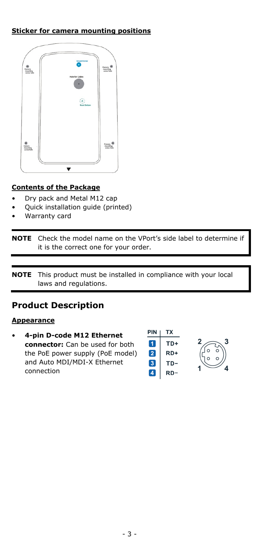### **Sticker for camera mounting positions**



### **Contents of the Package**

- Dry pack and Metal M12 cap
- Quick installation guide (printed)
- Warranty card

**NOTE** Check the model name on the VPort's side label to determine if it is the correct one for your order.

**NOTE** This product must be installed in compliance with your local laws and regulations.

### **Product Description**

#### **Appearance**

• **4-pin D-code M12 Ethernet connector:** Can be used for both the PoE power supply (PoE model) and Auto MDI/MDI-X Ethernet connection

| PIN | 'X  |
|-----|-----|
|     | TD+ |
| 2   | RD+ |
| 3   | TD- |
|     | RD  |

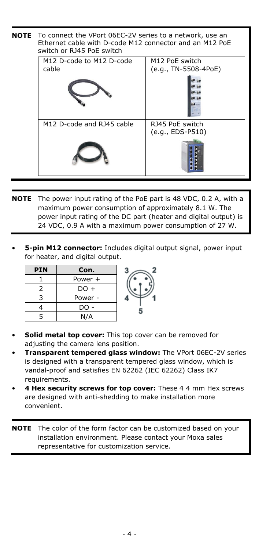| <b>NOTE</b> | To connect the VPort 06EC-2V series to a network, use an<br>Ethernet cable with D-code M12 connector and an M12 PoE<br>switch or RJ45 PoE switch |                                                    |
|-------------|--------------------------------------------------------------------------------------------------------------------------------------------------|----------------------------------------------------|
|             | M12 D-code to M12 D-code<br>cable                                                                                                                | M <sub>12</sub> PoE switch<br>(e.g., TN-5508-4PoE) |
|             |                                                                                                                                                  |                                                    |
|             | M12 D-code and RJ45 cable                                                                                                                        | RJ45 PoE switch<br>(e.g., EDS-P510)                |
|             |                                                                                                                                                  |                                                    |

- **NOTE** The power input rating of the PoE part is 48 VDC, 0.2 A, with a maximum power consumption of approximately 8.1 W. The power input rating of the DC part (heater and digital output) is 24 VDC, 0.9 A with a maximum power consumption of 27 W.
- **5-pin M12 connector:** Includes digital output signal, power input for heater, and digital output.

| <b>PIN</b> | Con.    |  |
|------------|---------|--|
|            | Power + |  |
|            | DO +    |  |
|            | Power - |  |
|            | DO -    |  |
|            | N/A     |  |

- **Solid metal top cover:** This top cover can be removed for adjusting the camera lens position.
- **Transparent tempered glass window:** The VPort 06EC-2V series is designed with a transparent tempered glass window, which is vandal-proof and satisfies EN 62262 (IEC 62262) Class IK7 requirements.
- **4 Hex security screws for top cover:** These 4 4 mm Hex screws are designed with anti-shedding to make installation more convenient.

**NOTE** The color of the form factor can be customized based on your installation environment. Please contact your Moxa sales representative for customization service.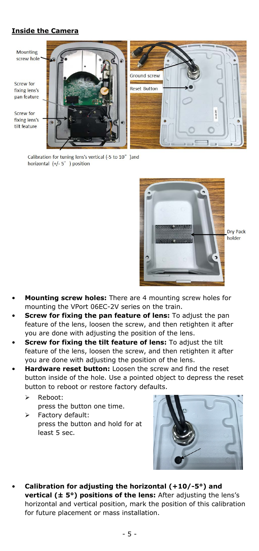### **Inside the Camera**



Calibration for tuning lens's vertical (-5 to 10° )and horizontal  $(+/- 5^\circ)$  position



Dry Pack holder

- **Mounting screw holes:** There are 4 mounting screw holes for mounting the VPort 06EC-2V series on the train.
- **Screw for fixing the pan feature of lens:** To adjust the pan feature of the lens, loosen the screw, and then retighten it after you are done with adjusting the position of the lens.
- **Screw for fixing the tilt feature of lens:** To adjust the tilt feature of the lens, loosen the screw, and then retighten it after you are done with adjusting the position of the lens.
- **Hardware reset button:** Loosen the screw and find the reset button inside of the hole. Use a pointed object to depress the reset button to reboot or restore factory defaults.
	- Reboot: press the button one time.
	- > Factory default: press the button and hold for at least 5 sec.



• **Calibration for adjusting the horizontal (+10/-5°) and vertical (± 5°) positions of the lens:** After adjusting the lens's horizontal and vertical position, mark the position of this calibration for future placement or mass installation.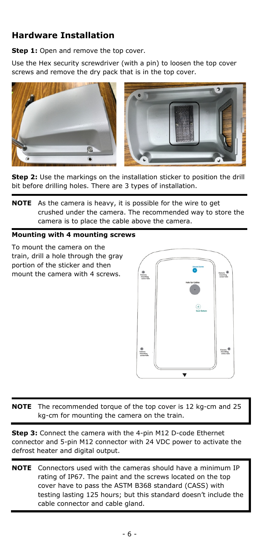### **Hardware Installation**

**Step 1:** Open and remove the top cover.

Use the Hex security screwdriver (with a pin) to loosen the top cover screws and remove the dry pack that is in the top cover.





**Step 2:** Use the markings on the installation sticker to position the drill bit before drilling holes. There are 3 types of installation.

**NOTE** As the camera is heavy, it is possible for the wire to get crushed under the camera. The recommended way to store the camera is to place the cable above the camera.

#### **Mounting with 4 mounting screws**

To mount the camera on the train, drill a hole through the gray portion of the sticker and then mount the camera with 4 screws.



**NOTE** The recommended torque of the top cover is 12 kg-cm and 25 kg-cm for mounting the camera on the train.

**Step 3:** Connect the camera with the 4-pin M12 D-code Ethernet connector and 5-pin M12 connector with 24 VDC power to activate the defrost heater and digital output.

**NOTE** Connectors used with the cameras should have a minimum IP rating of IP67. The paint and the screws located on the top cover have to pass the ASTM B368 standard (CASS) with testing lasting 125 hours; but this standard doesn't include the cable connector and cable gland.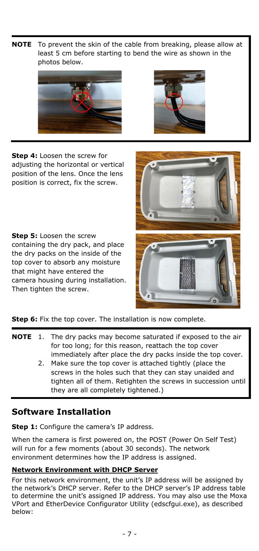**NOTE** To prevent the skin of the cable from breaking, please allow at least 5 cm before starting to bend the wire as shown in the photos below.





**Step 4:** Loosen the screw for adjusting the horizontal or vertical position of the lens. Once the lens position is correct, fix the screw.

**Step 5:** Loosen the screw containing the dry pack, and place the dry packs on the inside of the top cover to absorb any moisture that might have entered the camera housing during installation. Then tighten the screw.



**Step 6:** Fix the top cover. The installation is now complete.

- **NOTE** 1. The dry packs may become saturated if exposed to the air for too long; for this reason, reattach the top cover immediately after place the dry packs inside the top cover.
	- 2. Make sure the top cover is attached tightly (place the screws in the holes such that they can stay unaided and tighten all of them. Retighten the screws in succession until they are all completely tightened.)

### **Software Installation**

**Step 1:** Configure the camera's IP address.

When the camera is first powered on, the POST (Power On Self Test) will run for a few moments (about 30 seconds). The network environment determines how the IP address is assigned.

### **Network Environment with DHCP Server**

For this network environment, the unit's IP address will be assigned by the network's DHCP server. Refer to the DHCP server's IP address table to determine the unit's assigned IP address. You may also use the Moxa VPort and EtherDevice Configurator Utility (edscfgui.exe), as described below: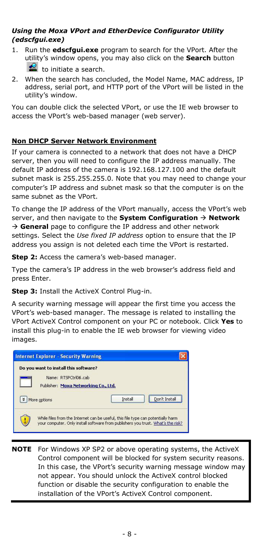### *Using the Moxa VPort and EtherDevice Configurator Utility (edscfgui.exe)*

- 1. Run the **edscfgui.exe** program to search for the VPort. After the utility's window opens, you may also click on the **Search** button to initiate a search.
- 2. When the search has concluded, the Model Name, MAC address, IP address, serial port, and HTTP port of the VPort will be listed in the utility's window.

You can double click the selected VPort, or use the IE web browser to access the VPort's web-based manager (web server).

#### **Non DHCP Server Network Environment**

If your camera is connected to a network that does not have a DHCP server, then you will need to configure the IP address manually. The default IP address of the camera is 192.168.127.100 and the default subnet mask is 255.255.255.0. Note that you may need to change your computer's IP address and subnet mask so that the computer is on the same subnet as the VPort.

To change the IP address of the VPort manually, access the VPort's web server, and then navigate to the **System Configuration Network** → General page to configure the IP address and other network settings. Select the *Use fixed IP address* option to ensure that the IP address you assign is not deleted each time the VPort is restarted.

**Step 2:** Access the camera's web-based manager.

Type the camera's IP address in the web browser's address field and press Enter.

**Step 3: Install the ActiveX Control Plug-in.** 

A security warning message will appear the first time you access the VPort's web-based manager. The message is related to installing the VPort ActiveX Control component on your PC or notebook. Click **Yes** to install this plug-in to enable the IE web browser for viewing video images.



**NOTE** For Windows XP SP2 or above operating systems, the ActiveX Control component will be blocked for system security reasons. In this case, the VPort's security warning message window may not appear. You should unlock the ActiveX control blocked function or disable the security configuration to enable the installation of the VPort's ActiveX Control component.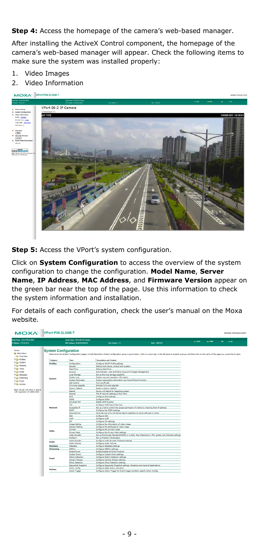**Step 4:** Access the homepage of the camera's web-based manager.

After installing the ActiveX Control component, the homepage of the camera's web-based manager will appear. Check the following items to make sure the system was installed properly:

- 1. Video Images
- 2. Video Information



**Step 5:** Access the VPort's system configuration.

Click on **System Configuration** to access the overview of the system configuration to change the configuration. **Model Name**, **Server Name**, **IP Address**, **MAC Address**, and **Firmware Version** appear on the green bar near the top of the page. Use this information to check the system information and installation.

For details of each configuration, check the user's manual on the Moxa website.

| MOXA' VPort P06-2L36M-T                                      |                             |                                                                        |                                                                                                                                                                                                                               |                         |          |         |        | www.moxa.com |
|--------------------------------------------------------------|-----------------------------|------------------------------------------------------------------------|-------------------------------------------------------------------------------------------------------------------------------------------------------------------------------------------------------------------------------|-------------------------|----------|---------|--------|--------------|
| <b>Mal Name: MPart POD St STATE</b><br>Address: 172.19.10.41 |                             | Senate Name: MPort 05.2 IP Carrents<br>MAC Address : 00:00:03:00:00:22 | Firm Version : 1.0                                                                                                                                                                                                            | <b>Build : 10001815</b> | $=$ STAT | $= PMR$ | $= 20$ | $ \alpha$    |
|                                                              |                             |                                                                        |                                                                                                                                                                                                                               |                         |          |         |        |              |
| <b>HARM</b><br><b>Es Main Meru</b><br><b>GI OverView</b>     | <b>System Configuration</b> |                                                                        | Welcome to the System Configuration pages. A brief description of each configuration proup is given below. Click on a plus sign in the left pane to espan to espan is group, and then click on the name of the pape you would |                         |          |         |        |              |
| <b><i><b>P.G.I. Profiles</b></i></b>                         | Category                    | box                                                                    | <b>Description and Content</b>                                                                                                                                                                                                |                         |          |         |        |              |
| <b>BGI System</b>                                            | <b>Profiles</b>             | Configuration                                                          | Configure OM/2F Profile settings                                                                                                                                                                                              |                         |          |         |        |              |
| @ Et Network                                                 |                             | Ceneral                                                                | Setting Host Name, contect and Location                                                                                                                                                                                       |                         |          |         |        |              |
| 33 Gill Midwey                                               |                             | <b>Data/Time</b>                                                       | <b>Setting Date/Time</b>                                                                                                                                                                                                      |                         |          |         |        |              |
| 90 Audio                                                     |                             | Account                                                                | Administrator, User and Damo Account Privileges Management                                                                                                                                                                    |                         |          |         |        |              |
| <b>Strike Meteology</b>                                      |                             | <b>Local Storage</b>                                                   | Set up the local storage capability                                                                                                                                                                                           |                         |          |         |        |              |
| <b><i>In Cheaming</i></b>                                    |                             | System Log                                                             | System Log and operation information                                                                                                                                                                                          |                         |          |         |        |              |
|                                                              | System                      | <b>System Parameter</b>                                                | System garameters information and Import/Eugert function                                                                                                                                                                      |                         |          |         |        |              |
| the Deed                                                     |                             | <b>LED Central</b>                                                     | Turn on/off LED                                                                                                                                                                                                               |                         |          |         |        |              |
| 9 Gil Actions                                                |                             | Firmusre Upgrade                                                       | Remote Firmware Upprade                                                                                                                                                                                                       |                         |          |         |        |              |
|                                                              |                             | <b>Factory Default</b>                                                 | Reset to Factory Default                                                                                                                                                                                                      |                         |          |         |        |              |
| Rest viewed with IF10 or above                               |                             | Reboot                                                                 | Device will reboot for restarting system.                                                                                                                                                                                     |                         |          |         |        |              |
| with resolution of 1200x1024                                 |                             | Ceneral                                                                | The 3P returnsk settings of this VPort                                                                                                                                                                                        |                         |          |         |        |              |
|                                                              |                             | <b>Did</b>                                                             | Configure (Pv6 settings                                                                                                                                                                                                       |                         |          |         |        |              |
|                                                              |                             | CONS                                                                   | Configure DDNS                                                                                                                                                                                                                |                         |          |         |        |              |
|                                                              |                             | <b>Universal Profit</b>                                                | <b>Frable UVP function</b>                                                                                                                                                                                                    |                         |          |         |        |              |
|                                                              | Network                     | TeS                                                                    | Configure TeS(Type of Service)                                                                                                                                                                                                |                         |          |         |        |              |
|                                                              |                             |                                                                        | Set up a lat to control the access permission of clients by checking their 3º address                                                                                                                                         |                         |          |         |        |              |
|                                                              |                             | Accessible IP<br>CARAD                                                 | Configure the SNNP settings                                                                                                                                                                                                   |                         |          |         |        |              |
|                                                              |                             | <b>Mora Service</b>                                                    | Mosa Service is for the device search capability by Mosa software or utility                                                                                                                                                  |                         |          |         |        |              |
|                                                              |                             | <b>SSH</b>                                                             | Configure 59H                                                                                                                                                                                                                 |                         |          |         |        |              |
|                                                              |                             |                                                                        |                                                                                                                                                                                                                               |                         |          |         |        |              |
|                                                              |                             | LLDP                                                                   | Configure LLDP                                                                                                                                                                                                                |                         |          |         |        |              |
|                                                              |                             | <b>CTD</b>                                                             | Configure 50P settings                                                                                                                                                                                                        |                         |          |         |        |              |
|                                                              |                             | <b>Image Setting</b>                                                   | Configure the information of video image                                                                                                                                                                                      |                         |          |         |        |              |
|                                                              |                             | Camera Setting                                                         | Configure the attributes of video image                                                                                                                                                                                       |                         |          |         |        |              |
|                                                              | Video                       | Comidor                                                                | Configure the corridor mode                                                                                                                                                                                                   |                         |          |         |        |              |
|                                                              |                             | <b>Privacy Mask</b>                                                    | Configure the Privacy Mask settings                                                                                                                                                                                           |                         |          |         |        |              |
|                                                              |                             | <b>Video Saccider</b>                                                  | Set up the Encode Standard(MJPEG or H.264), Size (Resolution), FPS, Quality and Multicast settings                                                                                                                            |                         |          |         |        |              |
|                                                              |                             | <b>Draddarm</b>                                                        | <b>Set un Drealarm Darameters</b>                                                                                                                                                                                             |                         |          |         |        |              |
|                                                              | <b>Audio</b>                | <b>Audio Encoder</b>                                                   | Configure Audio Encoder Malticast settings                                                                                                                                                                                    |                         |          |         |        |              |
|                                                              |                             | Audio Volume                                                           | Configure Audio Volume                                                                                                                                                                                                        |                         |          |         |        |              |
|                                                              | Metadata                    | Maharitaha                                                             | Configure Metadata settings                                                                                                                                                                                                   |                         |          |         |        |              |
|                                                              | Streaming                   | <b>CERSON</b>                                                          | Configure CRAPVo settings                                                                                                                                                                                                     |                         |          |         |        |              |
|                                                              |                             | <b>Drable Dyent</b>                                                    | Enable/Disable all Event Producer                                                                                                                                                                                             |                         |          |         |        |              |
|                                                              |                             | <b>Gustam Duest</b>                                                    | Configure System Event settings                                                                                                                                                                                               |                         |          |         |        |              |
|                                                              | <b>Found</b>                | <b>Motion Detection</b>                                                | Configure Motion Detection settings                                                                                                                                                                                           |                         |          |         |        |              |
|                                                              |                             | Camera Tamper                                                          | Configure Cerners Temper settings                                                                                                                                                                                             |                         |          |         |        |              |
|                                                              |                             | <b>River L. Datastina</b>                                              | Configure Shock Detection settings                                                                                                                                                                                            |                         |          |         |        |              |
|                                                              |                             | Sequential Snapshot                                                    | Configure Sequential Snapshot settings, Schedule and transmit destinations                                                                                                                                                    |                         |          |         |        |              |
|                                                              | Actions                     | <b>Action Config</b>                                                   | Configure detail Action activation.                                                                                                                                                                                           |                         |          |         |        |              |
|                                                              |                             | <b>Action Trigger</b>                                                  | Configure Action Trigger for Event trigger condition specify Action Configs                                                                                                                                                   |                         |          |         |        |              |